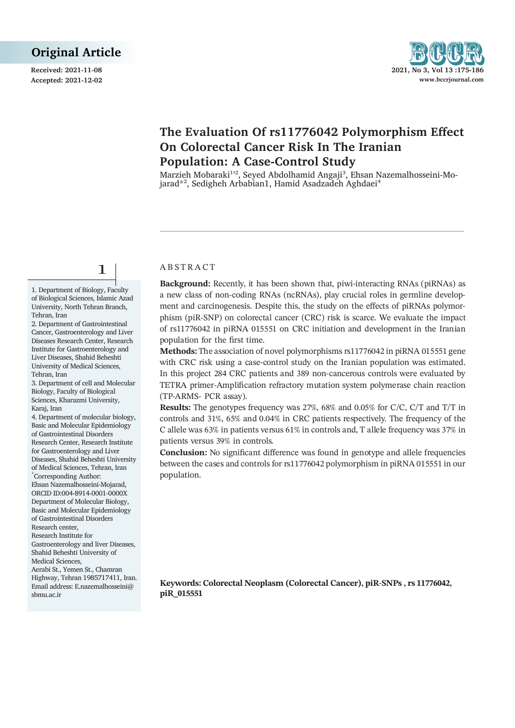**Received: 2021-11-08** 2021



# **The Evaluation Of rs11776042 Polymorphism Effect On Colorectal Cancer Risk In The Iranian Population: A Case-Control Study**

Marzieh Mobaraki<sup>1,2</sup>, Seyed Abdolhamid Angaji<sup>3</sup>, Ehsan Nazemalhosseini-Mojarad\*<sup>2</sup>, Sedigheh Arbabian1, Hamid Asadzadeh Aghdaei<sup>4</sup>

# 1

1. Department of Biology, Faculty of Biological Sciences, Islamic Azad University, North Tehran Branch, Tehran, Iran

2. Department of Gastrointestinal Cancer, Gastroenterology and Liver Diseases Research Center, Research Institute for Gastroenterology and Liver Diseases, Shahid Beheshti University of Medical Sciences, Tehran, Iran

3. Department of cell and Molecular Biology, Faculty of Biological Sciences, Kharazmi University, Karaj, Iran

4. Department of molecular biology, Basic and Molecular Epidemiology of Gastrointestinal Disorders Research Center, Research Institute for Gastroenterology and Liver Diseases, Shahid Beheshti University of Medical Sciences, Tehran, Iran \* Corresponding Author: Ehsan Nazemalhosseini-Mojarad, ORCID ID:004-8914-0001-0000X Department of Molecular Biology, Basic and Molecular Epidemiology of Gastrointestinal Disorders Research center, Research Institute for Gastroenterology and liver Diseases, Shahid Beheshti University of Medical Sciences, Aerabi St., Yemen St., Chamran

Highway, Tehran 1985717411, Iran. Email address: E.nazemalhosseini@ sbmu.ac.ir

# A B S T R A C T

**Background:** Recently, it has been shown that, piwi-interacting RNAs (piRNAs) as a new class of non-coding RNAs (ncRNAs), play crucial roles in germline development and carcinogenesis. Despite this, the study on the effects of piRNAs polymorphism (piR-SNP) on colorectal cancer (CRC) risk is scarce. We evaluate the impact of rs11776042 in piRNA 015551 on CRC initiation and development in the Iranian population for the first time.

**Methods:** The association of novel polymorphisms rs11776042 in piRNA 015551 gene with CRC risk using a case-control study on the Iranian population was estimated. In this project 284 CRC patients and 389 non-cancerous controls were evaluated by TETRA primer-Amplification refractory mutation system polymerase chain reaction (TP-ARMS- PCR assay).

**Results:** The genotypes frequency was 27%, 68% and 0.05% for C/C, C/T and T/T in controls and 31%, 65% and 0.04% in CRC patients respectively. The frequency of the C allele was 63% in patients versus 61% in controls and, T allele frequency was 37% in patients versus 39% in controls.

**Conclusion:** No significant difference was found in genotype and allele frequencies between the cases and controls for rs11776042 polymorphism in piRNA 015551 in our population.

**Keywords: Colorectal Neoplasm (Colorectal Cancer), piR-SNPs , rs 11776042, piR\_015551**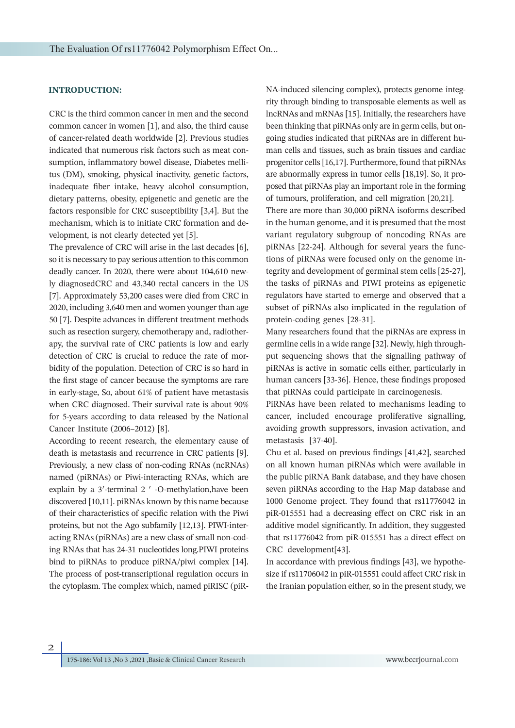# **INTRODUCTION:**

CRC is the third common cancer in men and the second common cancer in women [1], and also, the third cause of cancer-related death worldwide [2]. Previous studies indicated that numerous risk factors such as meat consumption, inflammatory bowel disease, Diabetes mellitus (DM), smoking, physical inactivity, genetic factors, inadequate fiber intake, heavy alcohol consumption, dietary patterns, obesity, epigenetic and genetic are the factors responsible for CRC susceptibility [3,4]. But the mechanism, which is to initiate CRC formation and development, is not clearly detected yet [5].

The prevalence of CRC will arise in the last decades [6], so it is necessary to pay serious attention to this common deadly cancer. In 2020, there were about 104,610 newly diagnosedCRC and 43,340 rectal cancers in the US [7]. Approximately 53,200 cases were died from CRC in 2020, including 3,640 men and women younger than age 50 [7]. Despite advances in different treatment methods such as resection surgery, chemotherapy and, radiotherapy, the survival rate of CRC patients is low and early detection of CRC is crucial to reduce the rate of morbidity of the population. Detection of CRC is so hard in the first stage of cancer because the symptoms are rare in early-stage, So, about 61% of patient have metastasis when CRC diagnosed. Their survival rate is about 90% for 5-years according to data released by the National Cancer Institute (2006–2012) [8].

According to recent research, the elementary cause of death is metastasis and recurrence in CRC patients [9]. Previously, a new class of non-coding RNAs (ncRNAs) named (piRNAs) or Piwi-interacting RNAs, which are explain by a 3′-terminal 2 ′ -O-methylation,have been discovered [10,11]. piRNAs known by this name because of their characteristics of specific relation with the Piwi proteins, but not the Ago subfamily [12,13]. PIWI-interacting RNAs (piRNAs) are a new class of small non-coding RNAs that has 24-31 nucleotides long.PIWI proteins bind to piRNAs to produce piRNA/piwi complex [14]. The process of post-transcriptional regulation occurs in the cytoplasm. The complex which, named piRISC (piR-

NA-induced silencing complex), protects genome integrity through binding to transposable elements as well as lncRNAs and mRNAs [15]. Initially, the researchers have been thinking that piRNAs only are in germ cells, but ongoing studies indicated that piRNAs are in different human cells and tissues, such as brain tissues and cardiac progenitor cells [16,17]. Furthermore, found that piRNAs are abnormally express in tumor cells [18,19]. So, it proposed that piRNAs play an important role in the forming of tumours, proliferation, and cell migration [20,21].

There are more than 30,000 piRNA isoforms described in the human genome, and it is presumed that the most variant regulatory subgroup of noncoding RNAs are piRNAs [22-24]. Although for several years the functions of piRNAs were focused only on the genome integrity and development of germinal stem cells [25-27], the tasks of piRNAs and PIWI proteins as epigenetic regulators have started to emerge and observed that a subset of piRNAs also implicated in the regulation of protein-coding genes [28-31].

Many researchers found that the piRNAs are express in germline cells in a wide range [32]. Newly, high throughput sequencing shows that the signalling pathway of piRNAs is active in somatic cells either, particularly in human cancers [33-36]. Hence, these findings proposed that piRNAs could participate in carcinogenesis.

PiRNAs have been related to mechanisms leading to cancer, included encourage proliferative signalling, avoiding growth suppressors, invasion activation, and metastasis [37-40].

Chu et al. based on previous findings [41,42], searched on all known human piRNAs which were available in the public piRNA Bank database, and they have chosen seven piRNAs according to the Hap Map database and 1000 Genome project. They found that rs11776042 in piR-015551 had a decreasing effect on CRC risk in an additive model significantly. In addition, they suggested that rs11776042 from piR-015551 has a direct effect on CRC development[43].

In accordance with previous findings [43], we hypothesize if rs11706042 in piR-015551 could affect CRC risk in the Iranian population either, so in the present study, we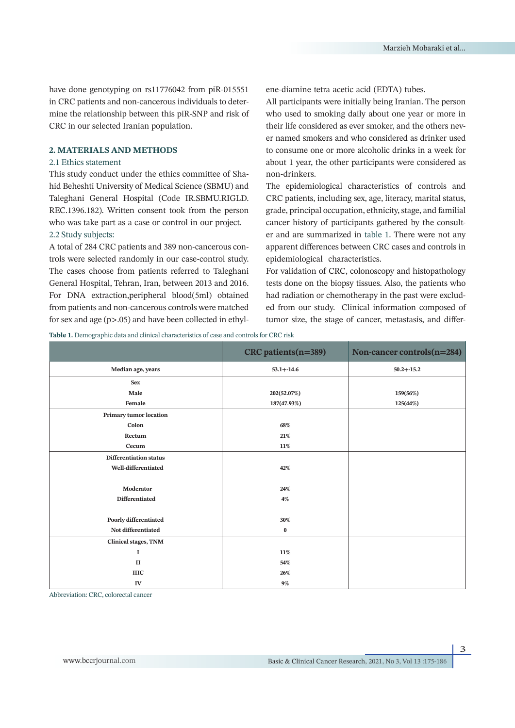have done genotyping on rs11776042 from piR-015551 in CRC patients and non-cancerous individuals to determine the relationship between this piR-SNP and risk of CRC in our selected Iranian population.

#### **2. MATERIALS AND METHODS**

#### 2.1 Ethics statement

This study conduct under the ethics committee of Shahid Beheshti University of Medical Science (SBMU) and Taleghani General Hospital (Code IR.SBMU.RIGLD. REC.1396.182). Written consent took from the person who was take part as a case or control in our project. 2.2 Study subjects:

A total of 284 CRC patients and 389 non-cancerous controls were selected randomly in our case-control study. The cases choose from patients referred to Taleghani General Hospital, Tehran, Iran, between 2013 and 2016. For DNA extraction,peripheral blood(5ml) obtained from patients and non-cancerous controls were matched for sex and age (p>.05) and have been collected in ethylene-diamine tetra acetic acid (EDTA) tubes.

All participants were initially being Iranian. The person who used to smoking daily about one year or more in their life considered as ever smoker, and the others never named smokers and who considered as drinker used to consume one or more alcoholic drinks in a week for about 1 year, the other participants were considered as non-drinkers.

The epidemiological characteristics of controls and CRC patients, including sex, age, literacy, marital status, grade, principal occupation, ethnicity, stage, and familial cancer history of participants gathered by the consulter and are summarized in table 1. There were not any apparent differences between CRC cases and controls in epidemiological characteristics.

For validation of CRC, colonoscopy and histopathology tests done on the biopsy tissues. Also, the patients who had radiation or chemotherapy in the past were excluded from our study. Clinical information composed of tumor size, the stage of cancer, metastasis, and differ-

**Table 1.** Demographic data and clinical characteristics of case and controls for CRC risk

|                               | CRC patients (n=389) | Non-cancer controls(n=284) |  |
|-------------------------------|----------------------|----------------------------|--|
| Median age, years             | $53.1 + -14.6$       | $50.2 + -15.2$             |  |
| <b>Sex</b>                    |                      |                            |  |
| Male                          | 202(52.07%)          | 159(56%)                   |  |
| Female                        | 187(47.93%)          | 125(44%)                   |  |
| Primary tumor location        |                      |                            |  |
| Colon                         | 68%                  |                            |  |
| Rectum                        | 21%                  |                            |  |
| Cecum                         | 11%                  |                            |  |
| <b>Differentiation status</b> |                      |                            |  |
| Well-differentiated           | 42%                  |                            |  |
|                               |                      |                            |  |
| Moderator                     | 24%                  |                            |  |
| Differentiated                | 4%                   |                            |  |
|                               |                      |                            |  |
| Poorly differentiated         | 30%                  |                            |  |
| Not differentiated            | $\bf{0}$             |                            |  |
| <b>Clinical stages, TNM</b>   |                      |                            |  |
| 1                             | 11%                  |                            |  |
| $\mathbf{I}$                  | 54%                  |                            |  |
| <b>IIIC</b>                   | 26%                  |                            |  |
| ${\rm IV}$                    | $9\%$                |                            |  |

Abbreviation: CRC, colorectal cancer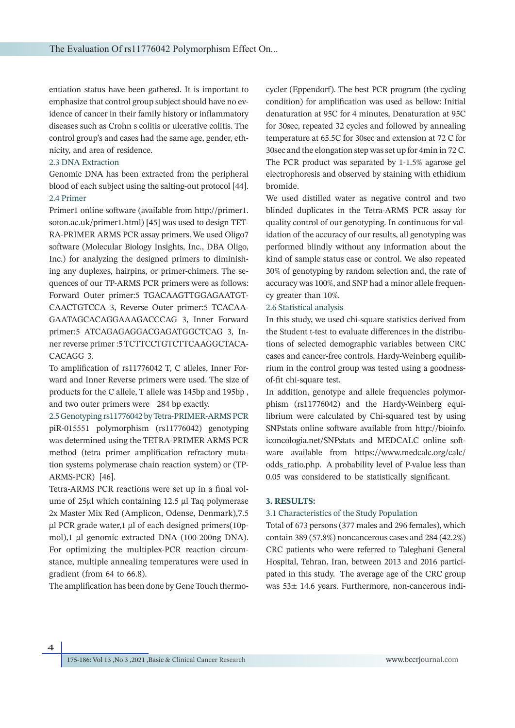entiation status have been gathered. It is important to emphasize that control group subject should have no evidence of cancer in their family history or inflammatory diseases such as Crohn s colitis or ulcerative colitis. The control group's and cases had the same age, gender, ethnicity, and area of residence.

#### 2.3 DNA Extraction

Genomic DNA has been extracted from the peripheral blood of each subject using the salting-out protocol [44]. 2.4 Primer

Primer1 online software (available from http://primer1. soton.ac.uk/primer1.html) [45] was used to design TET-RA-PRIMER ARMS PCR assay primers. We used Oligo7 software (Molecular Biology Insights, Inc., DBA Oligo, Inc.) for analyzing the designed primers to diminishing any duplexes, hairpins, or primer-chimers. The sequences of our TP-ARMS PCR primers were as follows: Forward Outer primer:5 TGACAAGTTGGAGAATGT-CAACTGTCCA 3, Reverse Outer primer:5 TCACAA-GAATAGCACAGGAAAGACCCAG 3, Inner Forward primer:5 ATCAGAGAGGACGAGATGGCTCAG 3, Inner reverse primer :5 TCTTCCTGTCTTCAAGGCTACA-CACAGG 3.

To amplification of rs11776042 T, C alleles, Inner Forward and Inner Reverse primers were used. The size of products for the C allele, T allele was 145bp and 195bp , and two outer primers were 284 bp exactly.

2.5 Genotyping rs11776042 by Tetra-PRIMER-ARMS PCR piR-015551 polymorphism (rs11776042) genotyping was determined using the TETRA-PRIMER ARMS PCR method (tetra primer amplification refractory mutation systems polymerase chain reaction system) or (TP-ARMS-PCR) [46].

Tetra-ARMS PCR reactions were set up in a final volume of 25µl which containing 12.5 µl Taq polymerase 2x Master Mix Red (Amplicon, Odense, Denmark),7.5  $\mu$ l PCR grade water,1  $\mu$ l of each designed primers(10pmol),1 μl genomic extracted DNA (100-200ng DNA). For optimizing the multiplex-PCR reaction circumstance, multiple annealing temperatures were used in gradient (from 64 to 66.8).

The amplification has been done by Gene Touch thermo-

cycler (Eppendorf). The best PCR program (the cycling condition) for amplification was used as bellow: Initial denaturation at 95C for 4 minutes, Denaturation at 95C for 30sec, repeated 32 cycles and followed by annealing temperature at 65.5C for 30sec and extension at 72 C for 30sec and the elongation step was set up for 4min in 72 C. The PCR product was separated by 1-1.5% agarose gel electrophoresis and observed by staining with ethidium bromide.

We used distilled water as negative control and two blinded duplicates in the Tetra-ARMS PCR assay for quality control of our genotyping. In continuous for validation of the accuracy of our results, all genotyping was performed blindly without any information about the kind of sample status case or control. We also repeated 30% of genotyping by random selection and, the rate of accuracy was 100%, and SNP had a minor allele frequency greater than 10%.

#### 2.6 Statistical analysis

In this study, we used chi-square statistics derived from the Student t-test to evaluate differences in the distributions of selected demographic variables between CRC cases and cancer‐free controls. Hardy‐Weinberg equilibrium in the control group was tested using a goodness‐ of‐fit chi‐square test.

In addition, genotype and allele frequencies polymorphism (rs11776042) and the Hardy-Weinberg equilibrium were calculated by Chi-squared test by using SNPstats online software available from http://bioinfo. iconcologia.net/SNPstats and MEDCALC online software available from https://www.medcalc.org/calc/ odds\_ratio.php. A probability level of P-value less than 0.05 was considered to be statistically significant.

#### **3. RESULTS:**

#### 3.1 Characteristics of the Study Population

Total of 673 persons (377 males and 296 females), which contain 389 (57.8%) noncancerous cases and 284 (42.2%) CRC patients who were referred to Taleghani General Hospital, Tehran, Iran, between 2013 and 2016 participated in this study. The average age of the CRC group was 53± 14.6 years. Furthermore, non-cancerous indi-

 $\overline{\mathbf{A}}$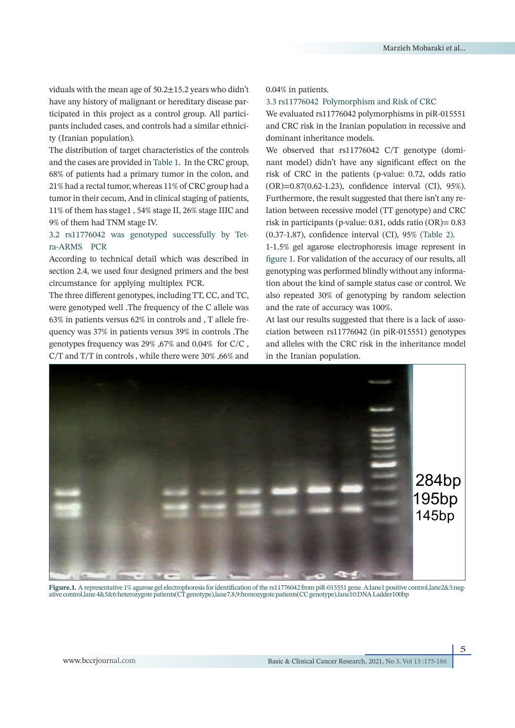viduals with the mean age of 50.2±15.2 years who didn't have any history of malignant or hereditary disease participated in this project as a control group. All participants included cases, and controls had a similar ethnicity (Iranian population).

The distribution of target characteristics of the controls and the cases are provided in Table 1. In the CRC group, 68% of patients had a primary tumor in the colon, and 21% had a rectal tumor, whereas 11% of CRC group had a tumor in their cecum, And in clinical staging of patients, 11% of them has stage1 , 54% stage II, 26% stage IIIC and 9% of them had TNM stage IV.

# 3.2 rs11776042 was genotyped successfully by Tetra-ARMS PCR

According to technical detail which was described in section 2.4, we used four designed primers and the best circumstance for applying multiplex PCR.

The three different genotypes, including TT, CC, and TC, were genotyped well .The frequency of the C allele was 63% in patients versus 62% in controls and , T allele frequency was 37% in patients versus 39% in controls .The genotypes frequency was 29% ,67% and 0.04% for C/C , C/T and T/T in controls , while there were 30% ,66% and

## 0.04% in patients.

#### 3.3 rs11776042 Polymorphism and Risk of CRC

We evaluated rs11776042 polymorphisms in piR-015551 and CRC risk in the Iranian population in recessive and dominant inheritance models.

We observed that rs11776042 C/T genotype (dominant model) didn't have any significant effect on the risk of CRC in the patients (p-value: 0.72, odds ratio (OR)=0.87(0.62-1.23), confidence interval (CI), 95%). Furthermore, the result suggested that there isn't any relation between recessive model (TT genotype) and CRC risk in participants (p-value: 0.81, odds ratio (OR)= 0.83 (0.37-1.87), confidence interval (CI), 95% (Table 2).

1-1.5% gel agarose electrophoresis image represent in figure 1. For validation of the accuracy of our results, all genotyping was performed blindly without any information about the kind of sample status case or control. We also repeated 30% of genotyping by random selection and the rate of accuracy was 100%.

At last our results suggested that there is a lack of association between rs11776042 (in piR-015551) genotypes and alleles with the CRC risk in the inheritance model in the Iranian population.



**Figure.1.** A representative 1% agarose gel electrophoresis for identification of the rs11776042 from piR-015551 gene. A:lane1:positive control,lane2&3:negative control,lane 4&5&6:heterozygote patients(CT genotype),lane7,8,9:homozygote patients(CC genotype),lane10:DNA Ladder100bp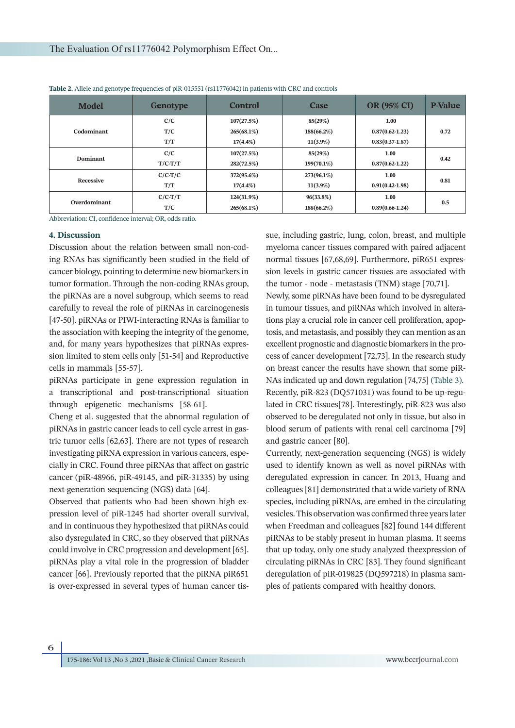| <b>Model</b> | <b>Genotype</b> | Control     | Case        | <b>OR (95% CI)</b>  | <b>P-Value</b> |
|--------------|-----------------|-------------|-------------|---------------------|----------------|
| Codominant   | C/C             | 107(27.5%)  | 85(29%)     | 1.00                |                |
|              | T/C             | 265(68.1%)  | 188(66.2%)  | $0.87(0.62 - 1.23)$ | 0.72           |
|              | T/T             | $17(4.4\%)$ | $11(3.9\%)$ | $0.83(0.37-1.87)$   |                |
| Dominant     | C/C             | 107(27.5%)  | 85(29%)     | 1.00                | 0.42           |
|              | $T/C-T/T$       | 282(72.5%)  | 199(70.1%)  | $0.87(0.62 - 1.22)$ |                |
| Recessive    | $C/C-T/C$       | 372(95.6%)  | 273(96.1%)  | 1.00                | 0.81           |
|              | T/T             | $17(4.4\%)$ | $11(3.9\%)$ | $0.91(0.42-1.98)$   |                |
| Overdominant | $C/C-T/T$       | 124(31.9%)  | 96(33.8%)   | 1.00                | 0.5            |
|              | T/C             | 265(68.1%)  | 188(66.2%)  | $0.89(0.66-1.24)$   |                |

**Table 2.** Allele and genotype frequencies of piR‐015551 (rs11776042) in patients with CRC and controls

Abbreviation: CI, confidence interval; OR, odds ratio.

#### **4. Discussion**

Discussion about the relation between small non-coding RNAs has significantly been studied in the field of cancer biology, pointing to determine new biomarkers in tumor formation. Through the non-coding RNAs group, the piRNAs are a novel subgroup, which seems to read carefully to reveal the role of piRNAs in carcinogenesis [47-50]. piRNAs or PIWI-interacting RNAs is familiar to the association with keeping the integrity of the genome, and, for many years hypothesizes that piRNAs expression limited to stem cells only [51-54] and Reproductive cells in mammals [55-57].

piRNAs participate in gene expression regulation in a transcriptional and post-transcriptional situation through epigenetic mechanisms [58-61].

Cheng et al. suggested that the abnormal regulation of piRNAs in gastric cancer leads to cell cycle arrest in gastric tumor cells [62,63]. There are not types of research investigating piRNA expression in various cancers, especially in CRC. Found three piRNAs that affect on gastric cancer (piR-48966, piR-49145, and piR-31335) by using next-generation sequencing (NGS) data [64].

Observed that patients who had been shown high expression level of piR-1245 had shorter overall survival, and in continuous they hypothesized that piRNAs could also dysregulated in CRC, so they observed that piRNAs could involve in CRC progression and development [65]. piRNAs play a vital role in the progression of bladder cancer [66]. Previously reported that the piRNA piR651 is over-expressed in several types of human cancer tissue, including gastric, lung, colon, breast, and multiple myeloma cancer tissues compared with paired adjacent normal tissues [67,68,69]. Furthermore, piR651 expression levels in gastric cancer tissues are associated with the tumor ‐ node ‐ metastasis (TNM) stage [70,71].

Newly, some piRNAs have been found to be dysregulated in tumour tissues, and piRNAs which involved in alterations play a crucial role in cancer cell proliferation, apoptosis, and metastasis, and possibly they can mention as an excellent prognostic and diagnostic biomarkers in the process of cancer development [72,73]. In the research study on breast cancer the results have shown that some piR-NAs indicated up and down regulation [74,75] (Table 3). Recently, piR-823 (DQ571031) was found to be up-regulated in CRC tissues[78]. Interestingly, piR-823 was also observed to be deregulated not only in tissue, but also in blood serum of patients with renal cell carcinoma [79] and gastric cancer [80].

Currently, next-generation sequencing (NGS) is widely used to identify known as well as novel piRNAs with deregulated expression in cancer. In 2013, Huang and colleagues [81] demonstrated that a wide variety of RNA species, including piRNAs, are embed in the circulating vesicles. This observation was confirmed three years later when Freedman and colleagues [82] found 144 different piRNAs to be stably present in human plasma. It seems that up today, only one study analyzed theexpression of circulating piRNAs in CRC [83]. They found significant deregulation of piR-019825 (DQ597218) in plasma samples of patients compared with healthy donors.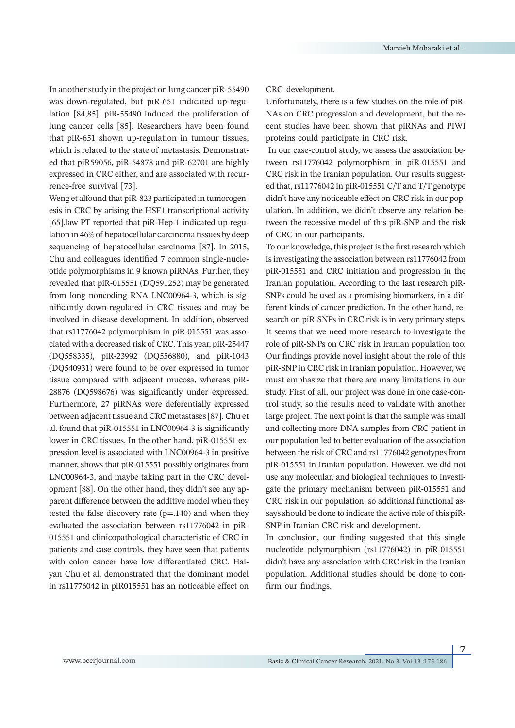In another study in the project on lung cancer piR‐55490 was down‐regulated, but piR‐651 indicated up‐regulation [84,85]. piR‐55490 induced the proliferation of lung cancer cells [85]. Researchers have been found that piR‐651 shown up‐regulation in tumour tissues, which is related to the state of metastasis. Demonstrated that piR59056, piR‐54878 and piR‐62701 are highly expressed in CRC either, and are associated with recurrence‐free survival [73].

Weng et alfound that piR‐823 participated in tumorogenesis in CRC by arising the HSF1 transcriptional activity [65].law PT reported that piR-Hep-1 indicated up-regulation in 46% of hepatocellular carcinoma tissues by deep sequencing of hepatocellular carcinoma [87]. In 2015, Chu and colleagues identified 7 common single-nucleotide polymorphisms in 9 known piRNAs. Further, they revealed that piR-015551 (DQ591252) may be generated from long noncoding RNA LNC00964-3, which is significantly down-regulated in CRC tissues and may be involved in disease development. In addition, observed that rs11776042 polymorphism in piR-015551 was associated with a decreased risk of CRC. This year, piR-25447 (DQ558335), piR-23992 (DQ556880), and piR-1043 (DQ540931) were found to be over expressed in tumor tissue compared with adjacent mucosa, whereas piR-28876 (DQ598676) was significantly under expressed. Furthermore, 27 piRNAs were deferentially expressed between adjacent tissue and CRC metastases [87]. Chu et al. found that piR‐015551 in LNC00964‐3 is significantly lower in CRC tissues. In the other hand, piR‐015551 expression level is associated with LNC00964‐3 in positive manner, shows that piR‐015551 possibly originates from LNC00964‐3, and maybe taking part in the CRC development [88]. On the other hand, they didn't see any apparent difference between the additive model when they tested the false discovery rate  $(p=140)$  and when they evaluated the association between rs11776042 in piR-015551 and clinicopathological characteristic of CRC in patients and case controls, they have seen that patients with colon cancer have low differentiated CRC. Haiyan Chu et al. demonstrated that the dominant model in rs11776042 in piR015551 has an noticeable effect on

#### CRC development.

Unfortunately, there is a few studies on the role of piR-NAs on CRC progression and development, but the recent studies have been shown that piRNAs and PIWI proteins could participate in CRC risk.

 In our case-control study, we assess the association between rs11776042 polymorphism in piR-015551 and CRC risk in the Iranian population. Our results suggested that, rs11776042 in piR-015551 C/T and T/T genotype didn't have any noticeable effect on CRC risk in our population. In addition, we didn't observe any relation between the recessive model of this piR-SNP and the risk of CRC in our participants.

To our knowledge, this project is the first research which is investigating the association between rs11776042 from piR-015551 and CRC initiation and progression in the Iranian population. According to the last research piR-SNPs could be used as a promising biomarkers, in a different kinds of cancer prediction. In the other hand, research on piR-SNPs in CRC risk is in very primary steps. It seems that we need more research to investigate the role of piR-SNPs on CRC risk in Iranian population too. Our findings provide novel insight about the role of this piR-SNP in CRC risk in Iranian population. However, we must emphasize that there are many limitations in our study. First of all, our project was done in one case-control study, so the results need to validate with another large project. The next point is that the sample was small and collecting more DNA samples from CRC patient in our population led to better evaluation of the association between the risk of CRC and rs11776042 genotypes from piR-015551 in Iranian population. However, we did not use any molecular, and biological techniques to investigate the primary mechanism between piR-015551 and CRC risk in our population, so additional functional assays should be done to indicate the active role of this piR-SNP in Iranian CRC risk and development.

In conclusion, our finding suggested that this single nucleotide polymorphism (rs11776042) in piR-015551 didn't have any association with CRC risk in the Iranian population. Additional studies should be done to confirm our findings.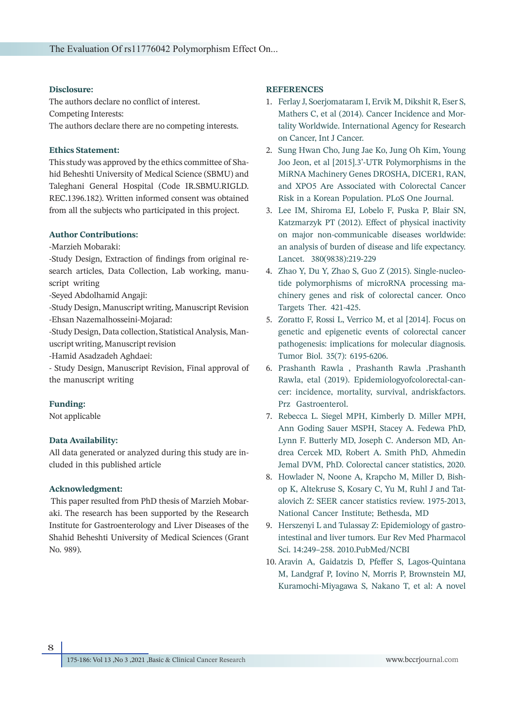#### **Disclosure:**

The authors declare no conflict of interest. Competing Interests: The authors declare there are no competing interests.

# **Ethics Statement:**

This study was approved by the ethics committee of Shahid Beheshti University of Medical Science (SBMU) and Taleghani General Hospital (Code IR.SBMU.RIGLD. REC.1396.182). Written informed consent was obtained from all the subjects who participated in this project.

#### **Author Contributions:**

-Marzieh Mobaraki:

-Study Design, Extraction of findings from original research articles, Data Collection, Lab working, manuscript writing

-Seyed Abdolhamid Angaji:

-Study Design, Manuscript writing, Manuscript Revision -Ehsan Nazemalhosseini-Mojarad:

-Study Design, Data collection, Statistical Analysis, Manuscript writing, Manuscript revision

-Hamid Asadzadeh Aghdaei:

- Study Design, Manuscript Revision, Final approval of the manuscript writing

# **Funding:**

Not applicable

# **Data Availability:**

All data generated or analyzed during this study are included in this published article

# **Acknowledgment:**

 This paper resulted from PhD thesis of Marzieh Mobaraki. The research has been supported by the Research Institute for Gastroenterology and Liver Diseases of the Shahid Beheshti University of Medical Sciences (Grant No. 989).

# **REFERENCES**

- Ferlay J, Soerjomataram I, Ervik M, Dikshit R, Eser S, 1. Mathers C, et al (2014). Cancer Incidence and Mortality Worldwide. International Agency for Research on Cancer, Int J Cancer.
- 2. Sung Hwan Cho, Jung Jae Ko, Jung Oh Kim, Young Joo Jeon, et al [2015].3'-UTR Polymorphisms in the MiRNA Machinery Genes DROSHA, DICER1, RAN, and XPO5 Are Associated with Colorectal Cancer Risk in a Korean Population. PLoS One Journal.
- Lee IM, Shiroma EJ, Lobelo F, Puska P, Blair SN, 3. Katzmarzyk PT (2012). Effect of physical inactivity on major non‐communicable diseases worldwide: an analysis of burden of disease and life expectancy. Lancet. 380(9838):219‐229
- Zhao Y, Du Y, Zhao S, Guo Z (2015). Single‐nucleo-4. tide polymorphisms of microRNA processing machinery genes and risk of colorectal cancer. Onco Targets Ther. 421‐425.
- 5. Zoratto F, Rossi L, Verrico M, et al [2014]. Focus on genetic and epigenetic events of colorectal cancer pathogenesis: implications for molecular diagnosis. Tumor Biol. 35(7): 6195‐6206.
- Prashanth Rawla , Prashanth Rawla .Prashanth 6. Rawla, etal (2019). Epidemiologyofcolorectal-cancer: incidence, mortality, survival, andriskfactors. Prz Gastroenterol.
- 7. Rebecca L. Siegel MPH, Kimberly D. Miller MPH, Ann Goding Sauer MSPH, Stacey A. Fedewa PhD, Lynn F. Butterly MD, Joseph C. Anderson MD, Andrea Cercek MD, Robert A. Smith PhD, Ahmedin Jemal DVM, PhD. Colorectal cancer statistics, 2020.
- 8. Howlader N, Noone A, Krapcho M, Miller D, Bishop K, Altekruse S, Kosary C, Yu M, Ruhl J and Tatalovich Z: SEER cancer statistics review. 1975-2013, National Cancer Institute; Bethesda, MD
- 9. Herszenyi L and Tulassay Z: Epidemiology of gastrointestinal and liver tumors. Eur Rev Med Pharmacol Sci. 14:249–258. 2010.PubMed/NCBI
- 10. Aravin A, Gaidatzis D, Pfeffer S, Lagos-Quintana M, Landgraf P, Iovino N, Morris P, Brownstein MJ, Kuramochi-Miyagawa S, Nakano T, et al: A novel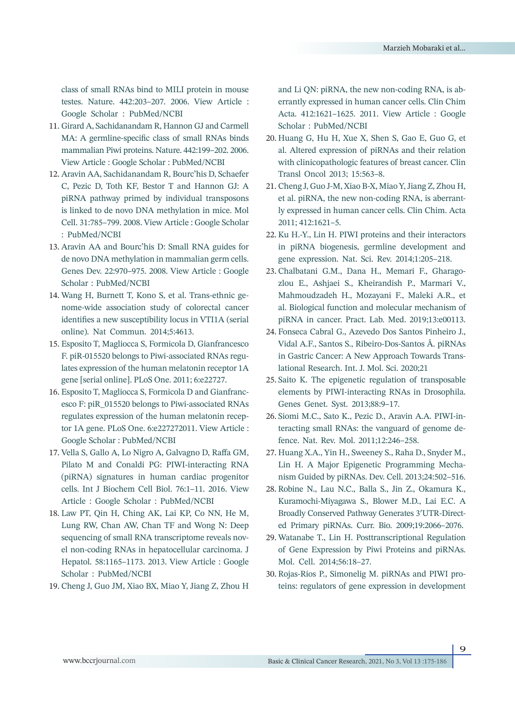class of small RNAs bind to MILI protein in mouse testes. Nature. 442:203–207. 2006. View Article : Google Scholar : PubMed/NCBI

- Girard A, Sachidanandam R, Hannon GJ and Carmell 11. MA: A germline-specific class of small RNAs binds mammalian Piwi proteins. Nature. 442:199–202. 2006. View Article : Google Scholar : PubMed/NCBI
- Aravin AA, Sachidanandam R, Bourc'his D, Schaefer 12. C, Pezic D, Toth KF, Bestor T and Hannon GJ: A piRNA pathway primed by individual transposons is linked to de novo DNA methylation in mice. Mol Cell. 31:785–799. 2008. View Article : Google Scholar : PubMed/NCBI
- 13. Aravin AA and Bourc'his D: Small RNA guides for de novo DNA methylation in mammalian germ cells. Genes Dev. 22:970–975. 2008. View Article : Google Scholar : PubMed/NCBI
- Wang H, Burnett T, Kono S, et al. Trans-ethnic ge-14. nome-wide association study of colorectal cancer identifies a new susceptibility locus in VTI1A (serial online). Nat Commun. 2014;5:4613.
- Esposito T, Magliocca S, Formicola D, Gianfrancesco 15. F. piR-015520 belongs to Piwi-associated RNAs regulates expression of the human melatonin receptor 1A gene [serial online]. PLoS One. 2011; 6:e22727.
- 16. Esposito T, Magliocca S, Formicola D and Gianfrancesco F: piR\_015520 belongs to Piwi-associated RNAs regulates expression of the human melatonin receptor 1A gene. PLoS One. 6:e227272011. View Article : Google Scholar : PubMed/NCBI
- 17. Vella S, Gallo A, Lo Nigro A, Galvagno D, Raffa GM, Pilato M and Conaldi PG: PIWI-interacting RNA (piRNA) signatures in human cardiac progenitor cells. Int J Biochem Cell Biol. 76:1–11. 2016. View Article : Google Scholar : PubMed/NCBI
- Law PT, Qin H, Ching AK, Lai KP, Co NN, He M, 18. Lung RW, Chan AW, Chan TF and Wong N: Deep sequencing of small RNA transcriptome reveals novel non-coding RNAs in hepatocellular carcinoma. J Hepatol. 58:1165–1173. 2013. View Article : Google Scholar : PubMed/NCBI
- Cheng J, Guo JM, Xiao BX, Miao Y, Jiang Z, Zhou H 19.

and Li QN: piRNA, the new non-coding RNA, is aberrantly expressed in human cancer cells. Clin Chim Acta. 412:1621–1625. 2011. View Article : Google Scholar : PubMed/NCBI

- 20. Huang G, Hu H, Xue X, Shen S, Gao E, Guo G, et al. Altered expression of piRNAs and their relation with clinicopathologic features of breast cancer. Clin Transl Oncol 2013; 15:563–8.
- Cheng J, Guo J-M, Xiao B-X, Miao Y, Jiang Z, Zhou H, 21. et al. piRNA, the new non-coding RNA, is aberrantly expressed in human cancer cells. Clin Chim. Acta 2011; 412:1621–5.
- 22. Ku H.-Y., Lin H. PIWI proteins and their interactors in piRNA biogenesis, germline development and gene expression. Nat. Sci. Rev. 2014;1:205–218.
- Chalbatani G.M., Dana H., Memari F., Gharago-23. zlou E., Ashjaei S., Kheirandish P., Marmari V., Mahmoudzadeh H., Mozayani F., Maleki A.R., et al. Biological function and molecular mechanism of piRNA in cancer. Pract. Lab. Med. 2019;13:e00113.
- Fonseca Cabral G., Azevedo Dos Santos Pinheiro J., 24. Vidal A.F., Santos S., Ribeiro-Dos-Santos Â. piRNAs in Gastric Cancer: A New Approach Towards Translational Research. Int. J. Mol. Sci. 2020;21
- 25. Saito K. The epigenetic regulation of transposable elements by PIWI-interacting RNAs in Drosophila. Genes Genet. Syst. 2013;88:9–17.
- 26. Siomi M.C., Sato K., Pezic D., Aravin A.A. PIWI-interacting small RNAs: the vanguard of genome defence. Nat. Rev. Mol. 2011;12:246–258.
- 27. Huang X.A., Yin H., Sweeney S., Raha D., Snyder M., Lin H. A Major Epigenetic Programming Mechanism Guided by piRNAs. Dev. Cell. 2013;24:502–516.
- 28. Robine N., Lau N.C., Balla S., Jin Z., Okamura K., Kuramochi-Miyagawa S., Blower M.D., Lai E.C. A Broadly Conserved Pathway Generates 3′UTR-Directed Primary piRNAs. Curr. Bio. 2009;19:2066–2076.
- 29. Watanabe T., Lin H. Posttranscriptional Regulation of Gene Expression by Piwi Proteins and piRNAs. Mol. Cell. 2014;56:18–27.
- 30. Rojas-Ríos P., Simonelig M. piRNAs and PIWI proteins: regulators of gene expression in development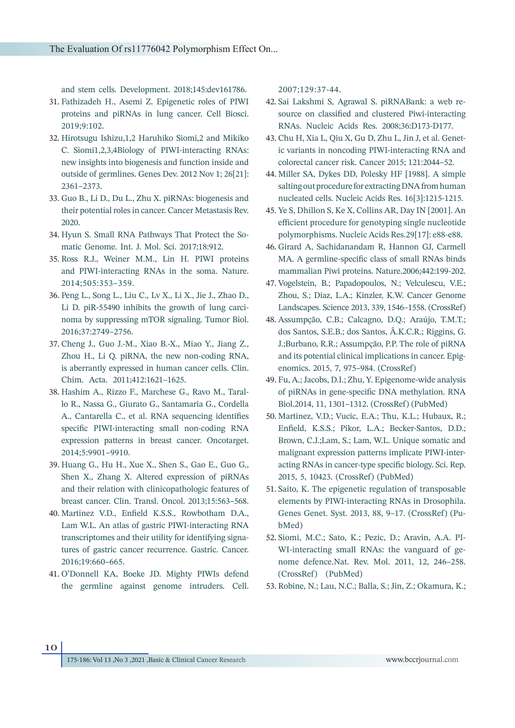and stem cells. Development. 2018;145:dev161786.

- Fathizadeh H., Asemi Z. Epigenetic roles of PIWI 31. proteins and piRNAs in lung cancer. Cell Biosci. 2019;9:102.
- 32. Hirotsugu Ishizu, 1,2 Haruhiko Siomi, 2 and Mikiko C. Siomi1,2,3,4Biology of PIWI-interacting RNAs: new insights into biogenesis and function inside and outside of germlines. Genes Dev. 2012 Nov 1; 26[21]: 2361–2373.
- 33. Guo B., Li D., Du L., Zhu X. piRNAs: biogenesis and their potential roles in cancer. Cancer Metastasis Rev. 2020.
- 34. Hyun S. Small RNA Pathways That Protect the Somatic Genome. Int. J. Mol. Sci. 2017;18:912.
- 35. Ross R.J., Weiner M.M., Lin H. PIWI proteins and PIWI-interacting RNAs in the soma. Nature. 2014;505:353–359.
- 36. Peng L., Song L., Liu C., Lv X., Li X., Jie J., Zhao D., Li D. piR-55490 inhibits the growth of lung carcinoma by suppressing mTOR signaling. Tumor Biol. 2016;37:2749–2756.
- Cheng J., Guo J.-M., Xiao B.-X., Miao Y., Jiang Z., 37. Zhou H., Li Q. piRNA, the new non-coding RNA, is aberrantly expressed in human cancer cells. Clin. Chim. Acta. 2011;412:1621–1625.
- Hashim A., Rizzo F., Marchese G., Ravo M., Taral-38. lo R., Nassa G., Giurato G., Santamaria G., Cordella A., Cantarella C., et al. RNA sequencing identifies specific PIWI-interacting small non-coding RNA expression patterns in breast cancer. Oncotarget. 2014;5:9901–9910.
- Huang G., Hu H., Xue X., Shen S., Gao E., Guo G., 39. Shen X., Zhang X. Altered expression of piRNAs and their relation with clinicopathologic features of breast cancer. Clin. Transl. Oncol. 2013;15:563–568.
- Martinez V.D., Enfield K.S.S., Rowbotham D.A., 40. Lam W.L. An atlas of gastric PIWI-interacting RNA transcriptomes and their utility for identifying signatures of gastric cancer recurrence. Gastric. Cancer. 2016;19:660–665.
- 41. O'Donnell KA, Boeke JD. Mighty PIWIs defend the germline against genome intruders. Cell.

2007;129:37-44.

- 42. Sai Lakshmi S, Agrawal S. piRNABank: a web resource on classified and clustered Piwi-interacting RNAs. Nucleic Acids Res. 2008;36:D173-D177.
- Chu H, Xia L, Qiu X, Gu D, Zhu L, Jin J, et al. Genet-43. ic variants in noncoding PIWI-interacting RNA and colorectal cancer risk. Cancer 2015; 121:2044–52.
- Miller SA, Dykes DD, Polesky HF [1988]. A simple 44. salting out procedure for extracting DNA from human nucleated cells. Nucleic Acids Res. 16[3]:1215‐1215.
- Ye S, Dhillon S, Ke X, Collins AR, Day IN [2001]. An 45. efficient procedure for genotyping single nucleotide polymorphisms. Nucleic Acids Res.29[17]: e88‐e88.
- 46. Girard A, Sachidanandam R, Hannon GJ, Carmell MA. A germline-specific class of small RNAs binds mammalian Piwi proteins. Nature.2006;442:199-202.
- 47. Vogelstein, B.; Papadopoulos, N.; Velculescu, V.E.; Zhou, S.; Diaz, L.A.; Kinzler, K.W. Cancer Genome Landscapes. Science 2013, 339, 1546–1558. (CrossRef)
- Assumpção, C.B.; Calcagno, D.Q.; Araújo, T.M.T.; 48. dos Santos, S.E.B.; dos Santos, Â.K.C.R.; Riggins, G. J.;Burbano, R.R.; Assumpção, P.P. The role of piRNA and its potential clinical implications in cancer. Epigenomics. 2015, 7, 975–984. (CrossRef)
- Fu, A.; Jacobs, D.I.; Zhu, Y. Epigenome-wide analysis 49. of piRNAs in gene-specific DNA methylation. RNA Biol.2014, 11, 1301–1312. (CrossRef) (PubMed)
- 50. Martinez, V.D.; Vucic, E.A.; Thu, K.L.; Hubaux, R.; Enfield, K.S.S.; Pikor, L.A.; Becker-Santos, D.D.; Brown, C.J.;Lam, S.; Lam, W.L. Unique somatic and malignant expression patterns implicate PIWI-interacting RNAs in cancer-type specific biology. Sci. Rep. 2015, 5, 10423. (CrossRef) (PubMed)
- 51. Saito, K. The epigenetic regulation of transposable elements by PIWI-interacting RNAs in Drosophila. Genes Genet. Syst. 2013, 88, 9–17. (CrossRef) (PubMed)
- Siomi, M.C.; Sato, K.; Pezic, D.; Aravin, A.A. PI-52. WI-interacting small RNAs: the vanguard of genome defence.Nat. Rev. Mol. 2011, 12, 246–258. (CrossRef) (PubMed)
- 53. Robine, N.; Lau, N.C.; Balla, S.; Jin, Z.; Okamura, K.;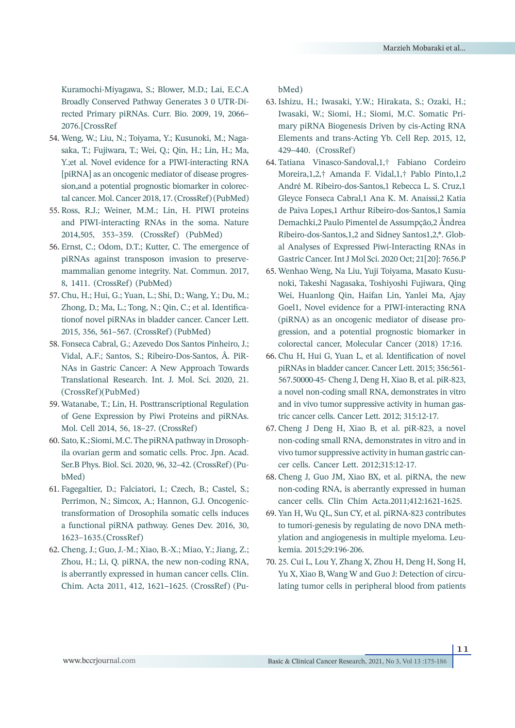Kuramochi-Miyagawa, S.; Blower, M.D.; Lai, E.C.A Broadly Conserved Pathway Generates 3 0 UTR-Directed Primary piRNAs. Curr. Bio. 2009, 19, 2066– 2076.[CrossRef

- 54. Weng, W.; Liu, N.; Toiyama, Y.; Kusunoki, M.; Nagasaka, T.; Fujiwara, T.; Wei, Q.; Qin, H.; Lin, H.; Ma, Y.;et al. Novel evidence for a PIWI-interacting RNA [piRNA] as an oncogenic mediator of disease progression,and a potential prognostic biomarker in colorectal cancer. Mol. Cancer 2018, 17. (CrossRef) (PubMed)
- 55. Ross, R.J.; Weiner, M.M.; Lin, H. PIWI proteins and PIWI-interacting RNAs in the soma. Nature 2014,505, 353–359. (CrossRef) (PubMed)
- 56. Ernst, C.; Odom, D.T.; Kutter, C. The emergence of piRNAs against transposon invasion to preservemammalian genome integrity. Nat. Commun. 2017, 8, 1411. (CrossRef) (PubMed)
- Chu, H.; Hui, G.; Yuan, L.; Shi, D.; Wang, Y.; Du, M.; 57. Zhong, D.; Ma, L.; Tong, N.; Qin, C.; et al. Identificationof novel piRNAs in bladder cancer. Cancer Lett. 2015, 356, 561–567. (CrossRef) (PubMed)
- Fonseca Cabral, G.; Azevedo Dos Santos Pinheiro, J.; 58. Vidal, A.F.; Santos, S.; Ribeiro-Dos-Santos, Â. PiR-NAs in Gastric Cancer: A New Approach Towards Translational Research. Int. J. Mol. Sci. 2020, 21. (CrossRef)(PubMed)
- 59. Watanabe, T.; Lin, H. Posttranscriptional Regulation of Gene Expression by Piwi Proteins and piRNAs. Mol. Cell 2014, 56, 18–27. (CrossRef)
- 60. Sato, K.; Siomi, M.C. The piRNA pathway in Drosophila ovarian germ and somatic cells. Proc. Jpn. Acad. Ser.B Phys. Biol. Sci. 2020, 96, 32–42. (CrossRef) (PubMed)
- Fagegaltier, D.; Falciatori, I.; Czech, B.; Castel, S.; 61. Perrimon, N.; Simcox, A.; Hannon, G.J. Oncogenictransformation of Drosophila somatic cells induces a functional piRNA pathway. Genes Dev. 2016, 30, 1623–1635.(CrossRef)
- Cheng, J.; Guo, J.-M.; Xiao, B.-X.; Miao, Y.; Jiang, Z.; 62. Zhou, H.; Li, Q. piRNA, the new non-coding RNA, is aberrantly expressed in human cancer cells. Clin. Chim. Acta 2011, 412, 1621–1625. (CrossRef) (Pu-

bMed)

- 63. Ishizu, H.; Iwasaki, Y.W.; Hirakata, S.; Ozaki, H.; Iwasaki, W.; Siomi, H.; Siomi, M.C. Somatic Primary piRNA Biogenesis Driven by cis-Acting RNA Elements and trans-Acting Yb. Cell Rep. 2015, 12, 429–440. (CrossRef)
- Tatiana Vinasco-Sandoval,1,† Fabiano Cordeiro 64. Moreira,1,2,† Amanda F. Vidal,1,† Pablo Pinto,1,2 André M. Ribeiro-dos-Santos,1 Rebecca L. S. Cruz,1 Gleyce Fonseca Cabral,1 Ana K. M. Anaissi,2 Katia de Paiva Lopes,1 Arthur Ribeiro-dos-Santos,1 Samia Demachki,2 Paulo Pimentel de Assumpção,2 Ândrea Ribeiro-dos-Santos,1,2 and Sidney Santos1,2,\*. Global Analyses of Expressed Piwi-Interacting RNAs in Gastric Cancer. Int J Mol Sci. 2020 Oct; 21[20]: 7656.P
- 65. Wenhao Weng, Na Liu, Yuji Toiyama, Masato Kusunoki, Takeshi Nagasaka, Toshiyoshi Fujiwara, Qing Wei, Huanlong Qin, Haifan Lin, Yanlei Ma, Ajay Goel1, Novel evidence for a PIWI-interacting RNA (piRNA) as an oncogenic mediator of disease progression, and a potential prognostic biomarker in colorectal cancer, Molecular Cancer (2018) 17:16.
- 66. Chu H, Hui G, Yuan L, et al. Identification of novel piRNAs in bladder cancer. Cancer Lett. 2015; 356:561- 567.50000-45- Cheng J, Deng H, Xiao B, et al. piR-823, a novel non-coding small RNA, demonstrates in vitro and in vivo tumor suppressive activity in human gastric cancer cells. Cancer Lett. 2012; 315:12-17.
- Cheng J Deng H, Xiao B, et al. piR-823, a novel 67. non-coding small RNA, demonstrates in vitro and in vivo tumor suppressive activity in human gastric cancer cells. Cancer Lett. 2012;315:12-17.
- 68. Cheng J, Guo JM, Xiao BX, et al. piRNA, the new non-coding RNA, is aberrantly expressed in human cancer cells. Clin Chim Acta.2011;412:1621-1625.
- 69. Yan H, Wu QL, Sun CY, et al. piRNA-823 contributes to tumori-genesis by regulating de novo DNA methylation and angiogenesis in multiple myeloma. Leukemia. 2015;29:196-206.
- 25. Cui L, Lou Y, Zhang X, Zhou H, Deng H, Song H, 70.Yu X, Xiao B, Wang W and Guo J: Detection of circulating tumor cells in peripheral blood from patients